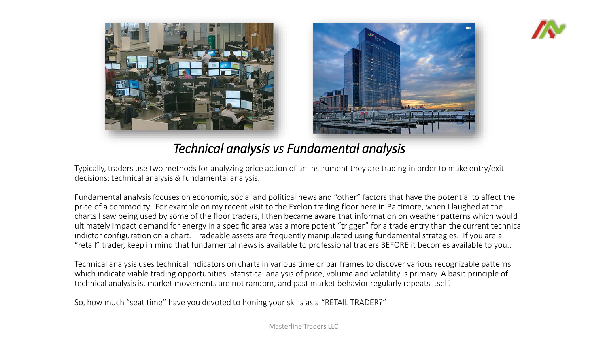



*Technical analysis vs Fundamental analysis*

Typically, traders use two methods for analyzing price action of an instrument they are trading in order to make entry/exit decisions: technical analysis & fundamental analysis.

Fundamental analysis focuses on economic, social and political news and "other" factors that have the potential to affect the price of a commodity. For example on my recent visit to the Exelon trading floor here in Baltimore, when I laughed at the charts I saw being used by some of the floor traders, I then became aware that information on weather patterns which would ultimately impact demand for energy in a specific area was a more potent "trigger" for a trade entry than the current technical indictor configuration on a chart. Tradeable assets are frequently manipulated using fundamental strategies. If you are a "retail" trader, keep in mind that fundamental news is available to professional traders BEFORE it becomes available to you..

Technical analysis uses technical indicators on charts in various time or bar frames to discover various recognizable patterns which indicate viable trading opportunities. Statistical analysis of price, volume and volatility is primary. A basic principle of technical analysis is, market movements are not random, and past market behavior regularly repeats itself.

So, how much "seat time" have you devoted to honing your skills as a "RETAIL TRADER?"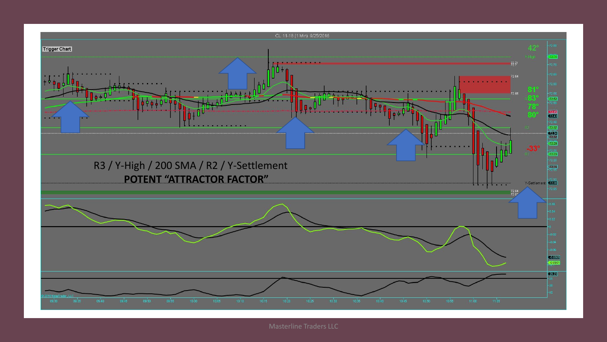